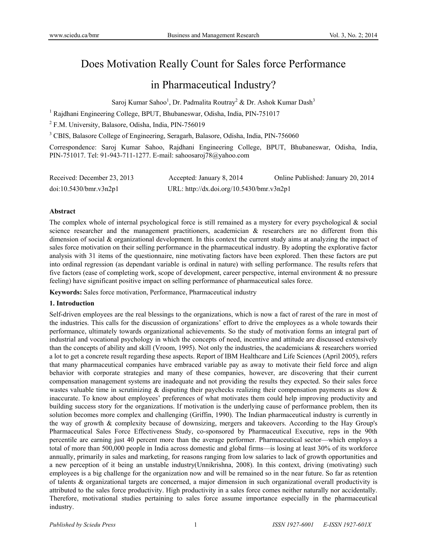# Does Motivation Really Count for Sales force Performance

## in Pharmaceutical Industry?

Saroj Kumar Sahoo<sup>1</sup>, Dr. Padmalita Routray<sup>2</sup> & Dr. Ashok Kumar Dash<sup>3</sup>

<sup>1</sup> Rajdhani Engineering College, BPUT, Bhubaneswar, Odisha, India, PIN-751017

<sup>2</sup> F.M. University, Balasore, Odisha, India, PIN-756019

<sup>3</sup> CBIS, Balasore College of Engineering, Seragarh, Balasore, Odisha, India, PIN-756060

Correspondence: Saroj Kumar Sahoo, Rajdhani Engineering College, BPUT, Bhubaneswar, Odisha, India, PIN-751017. Tel: 91-943-711-1277. E-mail: sahoosaroj78@yahoo.com

| Received: December 23, 2013 | Accepted: January 8, 2014                 | Online Published: January 20, 2014 |
|-----------------------------|-------------------------------------------|------------------------------------|
| doi:10.5430/bmr.v3n2p1      | URL: http://dx.doi.org/10.5430/bmr.v3n2p1 |                                    |

#### **Abstract**

The complex whole of internal psychological force is still remained as a mystery for every psychological & social science researcher and the management practitioners, academician & researchers are no different from this dimension of social & organizational development. In this context the current study aims at analyzing the impact of sales force motivation on their selling performance in the pharmaceutical industry. By adopting the explorative factor analysis with 31 items of the questionnaire, nine motivating factors have been explored. Then these factors are put into ordinal regression (as dependant variable is ordinal in nature) with selling performance. The results refers that five factors (ease of completing work, scope of development, career perspective, internal environment & no pressure feeling) have significant positive impact on selling performance of pharmaceutical sales force.

**Keywords:** Sales force motivation, Performance, Pharmaceutical industry

#### **1. Introduction**

Self-driven employees are the real blessings to the organizations, which is now a fact of rarest of the rare in most of the industries. This calls for the discussion of organizations' effort to drive the employees as a whole towards their performance, ultimately towards organizational achievements. So the study of motivation forms an integral part of industrial and vocational psychology in which the concepts of need, incentive and attitude are discussed extensively than the concepts of ability and skill (Vroom, 1995). Not only the industries, the academicians & researchers worried a lot to get a concrete result regarding these aspects. Report of IBM Healthcare and Life Sciences (April 2005), refers that many pharmaceutical companies have embraced variable pay as away to motivate their field force and align behavior with corporate strategies and many of these companies, however, are discovering that their current compensation management systems are inadequate and not providing the results they expected. So their sales force wastes valuable time in scrutinizing  $\&$  disputing their paychecks realizing their compensation payments as slow  $\&$ inaccurate. To know about employees' preferences of what motivates them could help improving productivity and building success story for the organizations. If motivation is the underlying cause of performance problem, then its solution becomes more complex and challenging (Griffin, 1990). The Indian pharmaceutical industry is currently in the way of growth & complexity because of downsizing, mergers and takeovers. According to the Hay Group's Pharmaceutical Sales Force Effectiveness Study, co-sponsored by Pharmaceutical Executive, reps in the 90th percentile are earning just 40 percent more than the average performer. Pharmaceutical sector—which employs a total of more than 500,000 people in India across domestic and global firms—is losing at least 30% of its workforce annually, primarily in sales and marketing, for reasons ranging from low salaries to lack of growth opportunities and a new perception of it being an unstable industry(Unnikrishna, 2008). In this context, driving (motivating) such employees is a big challenge for the organization now and will be remained so in the near future. So far as retention of talents & organizational targets are concerned, a major dimension in such organizational overall productivity is attributed to the sales force productivity. High productivity in a sales force comes neither naturally nor accidentally. Therefore, motivational studies pertaining to sales force assume importance especially in the pharmaceutical industry.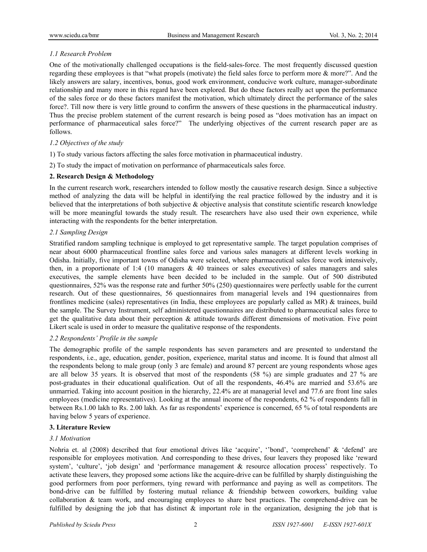## *1.1 Research Problem*

One of the motivationally challenged occupations is the field-sales-force. The most frequently discussed question regarding these employees is that "what propels (motivate) the field sales force to perform more & more?". And the likely answers are salary, incentives, bonus, good work environment, conducive work culture, manager-subordinate relationship and many more in this regard have been explored. But do these factors really act upon the performance of the sales force or do these factors manifest the motivation, which ultimately direct the performance of the sales force?. Till now there is very little ground to confirm the answers of these questions in the pharmaceutical industry. Thus the precise problem statement of the current research is being posed as "does motivation has an impact on performance of pharmaceutical sales force?" The underlying objectives of the current research paper are as follows.

## *1.2 Objectives of the study*

- 1) To study various factors affecting the sales force motivation in pharmaceutical industry.
- 2) To study the impact of motivation on performance of pharmaceuticals sales force.

## **2. Research Design & Methodology**

In the current research work, researchers intended to follow mostly the causative research design. Since a subjective method of analyzing the data will be helpful in identifying the real practice followed by the industry and it is believed that the interpretations of both subjective & objective analysis that constitute scientific research knowledge will be more meaningful towards the study result. The researchers have also used their own experience, while interacting with the respondents for the better interpretation.

## *2.1 Sampling Design*

Stratified random sampling technique is employed to get representative sample. The target population comprises of near about 6000 pharmaceutical frontline sales force and various sales managers at different levels working in Odisha. Initially, five important towns of Odisha were selected, where pharmaceutical sales force work intensively, then, in a proportionate of 1:4 (10 managers  $\&$  40 trainees or sales executives) of sales managers and sales executives, the sample elements have been decided to be included in the sample. Out of 500 distributed questionnaires, 52% was the response rate and further 50% (250) questionnaires were perfectly usable for the current research. Out of these questionnaires, 56 questionnaires from managerial levels and 194 questionnaires from frontlines medicine (sales) representatives (in India, these employees are popularly called as MR) & trainees, build the sample. The Survey Instrument, self administered questionnaires are distributed to pharmaceutical sales force to get the qualitative data about their perception & attitude towards different dimensions of motivation. Five point Likert scale is used in order to measure the qualitative response of the respondents.

### *2.2 Respondents' Profile in the sample*

The demographic profile of the sample respondents has seven parameters and are presented to understand the respondents, i.e., age, education, gender, position, experience, marital status and income. It is found that almost all the respondents belong to male group (only 3 are female) and around 87 percent are young respondents whose ages are all below 35 years. It is observed that most of the respondents (58 %) are simple graduates and 27 % are post-graduates in their educational qualification. Out of all the respondents, 46.4% are married and 53.6% are unmarried. Taking into account position in the hierarchy, 22.4% are at managerial level and 77.6 are front line sales employees (medicine representatives). Looking at the annual income of the respondents, 62 % of respondents fall in between Rs.1.00 lakh to Rs. 2.00 lakh. As far as respondents' experience is concerned, 65 % of total respondents are having below 5 years of experience.

## **3. Literature Review**

### *3.1 Motivation*

Nohria et. al (2008) described that four emotional drives like 'acquire', ''bond', 'comprehend' & 'defend' are responsible for employees motivation. And corresponding to these drives, four leavers they proposed like 'reward system', 'culture', 'job design' and 'performance management & resource allocation process' respectively. To activate these leavers, they proposed some actions like the acquire-drive can be fulfilled by sharply distinguishing the good performers from poor performers, tying reward with performance and paying as well as competitors. The bond-drive can be fulfilled by fostering mutual reliance & friendship between coworkers, building value collaboration & team work, and encouraging employees to share best practices. The comprehend-drive can be fulfilled by designing the job that has distinct  $\&$  important role in the organization, designing the job that is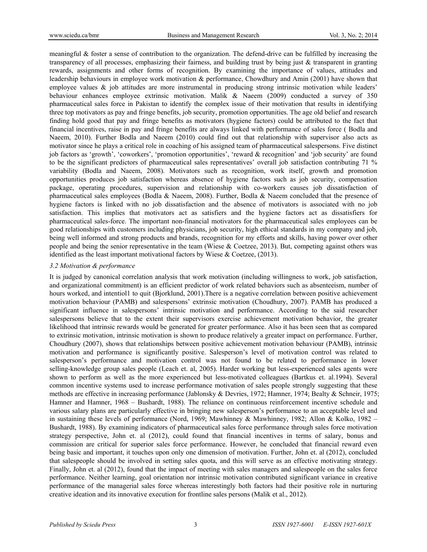meaningful  $\&$  foster a sense of contribution to the organization. The defend-drive can be fulfilled by increasing the transparency of all processes, emphasizing their fairness, and building trust by being just  $\&$  transparent in granting rewards, assignments and other forms of recognition. By examining the importance of values, attitudes and leadership behaviours in employee work motivation & performance, Chowdhury and Amin (2001) have shown that employee values  $\&$  job attitudes are more instrumental in producing strong intrinsic motivation while leaders' behaviour enhances employee extrinsic motivation. Malik & Naeem (2009) conducted a survey of 350 pharmaceutical sales force in Pakistan to identify the complex issue of their motivation that results in identifying three top motivators as pay and fringe benefits, job security, promotion opportunities. The age old belief and research finding hold good that pay and fringe benefits as motivators (hygiene factors) could be attributed to the fact that financial incentives, raise in pay and fringe benefits are always linked with performance of sales force ( Bodla and Naeem, 2010). Further Bodla and Naeem (2010) could find out that relationship with supervisor also acts as motivator since he plays a critical role in coaching of his assigned team of pharmaceutical salespersons. Five distinct job factors as 'growth', 'coworkers', 'promotion opportunities', 'reward & recognition' and 'job security' are found to be the significant predictors of pharmaceutical sales representatives' overall job satisfaction contributing 71 % variability (Bodla and Naeem, 2008). Motivators such as recognition, work itself, growth and promotion opportunities produces job satisfaction whereas absence of hygiene factors such as job security, compensation package, operating procedures, supervision and relationship with co-workers causes job dissatisfaction of pharmaceutical sales employees (Bodla & Naeem, 2008). Further, Bodla & Naeem concluded that the presence of hygiene factors is linked with no job dissatisfaction and the absence of motivators is associated with no job satisfaction. This implies that motivators act as satisfiers and the hygiene factors act as dissatisfiers for pharmaceutical sales-force. The important non-financial motivators for the pharmaceutical sales employees can be good relationships with customers including physicians, job security, high ethical standards in my company and job, being well informed and strong products and brands, recognition for my efforts and skills, having power over other people and being the senior representative in the team (Wiese  $& Coetzee, 2013$ ). But, competing against others was identified as the least important motivational factors by Wiese & Coetzee, (2013).

#### *3.2 Motivation & performance*

It is judged by canonical correlation analysis that work motivation (including willingness to work, job satisfaction, and organizational commitment) is an efficient predictor of work related behaviors such as absenteeism, number of hours worked, and intentiol1 to quit (Bjorklund, 2001). There is a negative correlation between positive achievement motivation behaviour (PAMB) and salespersons' extrinsic motivation (Choudhury, 2007). PAMB has produced a significant influence in salespersons' intrinsic motivation and performance. According to the said researcher salespersons believe that to the extent their supervisors exercise achievement motivation behavior, the greater likelihood that intrinsic rewards would be generated for greater performance. Also it has been seen that as compared to extrinsic motivation, intrinsic motivation is shown to produce relatively a greater impact on performance. Further, Choudhury (2007), shows that relationships between positive achievement motivation behaviour (PAMB), intrinsic motivation and performance is significantly positive. Salesperson's level of motivation control was related to salesperson's performance and motivation control was not found to be related to performance in lower selling-knowledge group sales people (Leach et. al, 2005). Harder working but less-experienced sales agents were shown to perform as well as the more experienced but less-motivated colleagues (Bartkus et. al.1994). Several common incentive systems used to increase performance motivation of sales people strongly suggesting that these methods are effective in increasing performance (Jablonsky & Devries, 1972; Hamner, 1974; Bealty & Schneir, 1975; Hamner and Hamner, 1968 – Bushardt, 1988). The reliance on continuous reinforcement incentive schedule and various salary plans are particularly effective in bringing new salesperson's performance to an acceptable level and in sustaining these levels of performance (Nord, 1969; Mawhinney & Mawhinney, 1982; Allon & Kolko, 1982 – Bushardt, 1988). By examining indicators of pharmaceutical sales force performance through sales force motivation strategy perspective, John et. al (2012), could found that financial incentives in terms of salary, bonus and commission are critical for superior sales force performance. However, he concluded that financial reward even being basic and important, it touches upon only one dimension of motivation. Further, John et. al (2012), concluded that salespeople should be involved in setting sales quota, and this will serve as an effective motivating strategy. Finally, John et. al (2012), found that the impact of meeting with sales managers and salespeople on the sales force performance. Neither learning, goal orientation nor intrinsic motivation contributed significant variance in creative performance of the managerial sales force whereas interestingly both factors had their positive role in nurturing creative ideation and its innovative execution for frontline sales persons (Malik et al., 2012).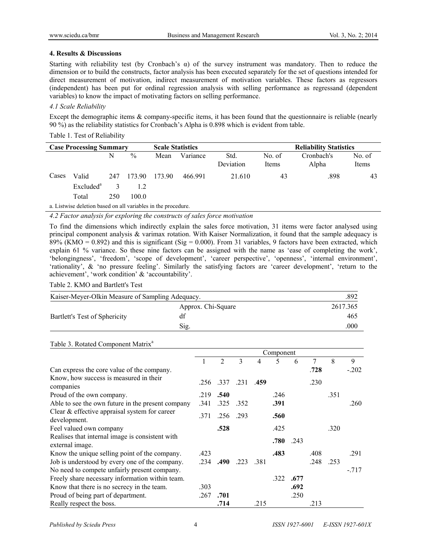### **4. Results & Discussions**

Starting with reliability test (by Cronbach's  $\alpha$ ) of the survey instrument was mandatory. Then to reduce the dimension or to build the constructs, factor analysis has been executed separately for the set of questions intended for direct measurement of motivation, indirect measurement of motivation variables. These factors as regressors (independent) has been put for ordinal regression analysis with selling performance as regressand (dependent variables) to know the impact of motivating factors on selling performance.

## *4.1 Scale Reliability*

Except the demographic items & company-specific items, it has been found that the questionnaire is reliable (nearly 90 %) as the reliability statistics for Cronbach's Alpha is 0.898 which is evident from table.

## Table 1. Test of Reliability

| <b>Case Processing Summary</b> |                                                               |     |        | <b>Scale Statistics</b> |          |                   | <b>Reliability Statistics</b> |                     |                 |  |  |  |  |  |
|--------------------------------|---------------------------------------------------------------|-----|--------|-------------------------|----------|-------------------|-------------------------------|---------------------|-----------------|--|--|--|--|--|
|                                |                                                               | N   | $\%$   | Mean                    | Variance | Std.<br>Deviation | No. of<br>Items               | Cronbach's<br>Alpha | No. of<br>Items |  |  |  |  |  |
| Cases                          | Valid                                                         | 247 | 173.90 | 173.90                  | 466.991  | 21.610            | 43                            | .898                | 43              |  |  |  |  |  |
|                                | Excluded <sup>a</sup>                                         |     |        |                         |          |                   |                               |                     |                 |  |  |  |  |  |
|                                | Total                                                         | 250 | 100.0  |                         |          |                   |                               |                     |                 |  |  |  |  |  |
|                                | a. Listwise deletion based on all variables in the procedure. |     |        |                         |          |                   |                               |                     |                 |  |  |  |  |  |

*4.2 Factor analysis for exploring the constructs of sales force motivation* 

To find the dimensions which indirectly explain the sales force motivation, 31 items were factor analysed using principal component analysis & varimax rotation. With Kaiser Normalization, it found that the sample adequacy is 89% (KMO = 0.892) and this is significant (Sig = 0.000). From 31 variables, 9 factors have been extracted, which explain 61 % variance. So these nine factors can be assigned with the name as 'ease of completing the work', 'belongingness', 'freedom', 'scope of development', 'career perspective', 'openness', 'internal environment', 'rationality', & 'no pressure feeling'. Similarly the satisfying factors are 'career development', 'return to the achievement', 'work condition' & 'accountability'.

### Table 2. KMO and Bartlett's Test

| Kaiser-Meyer-Olkin Measure of Sampling Adequacy. | .892               |          |
|--------------------------------------------------|--------------------|----------|
|                                                  | Approx. Chi-Square | 2617.365 |
| Bartlett's Test of Sphericity                    | df                 | 465      |
|                                                  | Sig.               | .000     |

### Table 3. Rotated Component Matrix<sup>a</sup>

|                                                                    | Component |                |      |      |      |      |      |      |         |
|--------------------------------------------------------------------|-----------|----------------|------|------|------|------|------|------|---------|
|                                                                    |           | $\overline{2}$ | 3    | 4    | 5    | 6    | 7    | 8    | 9       |
| Can express the core value of the company.                         |           |                |      |      |      |      | .728 |      | $-.202$ |
| Know, how success is measured in their<br>companies                | .256      | .337           | .231 | .459 |      |      | .230 |      |         |
| Proud of the own company.                                          | .219      | .540           |      |      | .246 |      |      | .351 |         |
| Able to see the own future in the present company                  | .341      | .325           | .352 |      | .391 |      |      |      | .260    |
| Clear $&$ effective appraisal system for career<br>development.    | .371      | .256           | .293 |      | .560 |      |      |      |         |
| Feel valued own company                                            |           | .528           |      |      | .425 |      |      | .320 |         |
| Realises that internal image is consistent with<br>external image. |           |                |      |      | .780 | .243 |      |      |         |
| Know the unique selling point of the company.                      | .423      |                |      |      | .483 |      | .408 |      | .291    |
| Job is understood by every one of the company.                     | .234      | .490           | .223 | .381 |      |      | .248 | .253 |         |
| No need to compete unfairly present company.                       |           |                |      |      |      |      |      |      | $-717$  |
| Freely share necessary information within team.                    |           |                |      |      | .322 | .677 |      |      |         |
| Know that there is no secrecy in the team.                         | .303      |                |      |      |      | .692 |      |      |         |
| Proud of being part of department.                                 | .267      | .701           |      |      |      | .250 |      |      |         |
| Really respect the boss.                                           |           | .714           |      | .215 |      |      | .213 |      |         |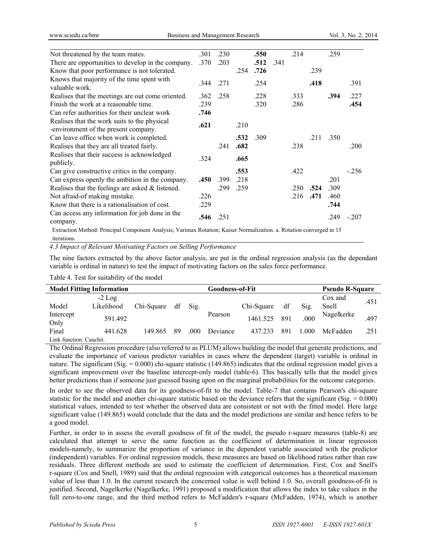| Not threatened by the team mates.                                                                                   | .301 | .230 |      | .550 |      | .214 |      | .259 |         |
|---------------------------------------------------------------------------------------------------------------------|------|------|------|------|------|------|------|------|---------|
| There are opportunities to develop in the company.                                                                  | .370 | .203 |      | .512 | .341 |      |      |      |         |
| Know that poor performance is not tolerated.                                                                        |      |      | .254 | .726 |      |      | .239 |      |         |
| Knows that majority of the time spent with<br>valuable work.                                                        | .344 | .271 |      | .254 |      |      | .418 |      | .391    |
| Realises that the meetings are out come oriented.                                                                   | .362 | .258 |      | .228 |      | .333 |      | .394 | .227    |
| Finish the work at a reasonable time.                                                                               | .239 |      |      | .320 |      | .286 |      |      | .454    |
| Can refer authorities for their unclear work                                                                        | .746 |      |      |      |      |      |      |      |         |
| Realises that the work suits to the physical<br>-environment of the present company.                                | .621 |      | .210 |      |      |      |      |      |         |
| Can leave office when work is completed.                                                                            |      |      | .532 | .309 |      |      | .211 | .350 |         |
| Realises that they are all treated fairly.                                                                          |      | .241 | .682 |      |      | .238 |      |      | .200    |
| Realises that their success is acknowledged<br>publicly.                                                            | .324 |      | .665 |      |      |      |      |      |         |
| Can give constructive critics in the company.                                                                       |      |      | .553 |      |      | .422 |      |      | $-256$  |
| Can express openly the ambition in the company.                                                                     | .450 | .399 | .218 |      |      |      |      | .201 |         |
| Realises that the feelings are asked $\&$ listened.                                                                 |      | .299 | .259 |      |      | .250 | .524 | .309 |         |
| Not afraid-of making mistake.                                                                                       | .226 |      |      |      |      | .216 | .471 | .460 |         |
| Know that there is a rationalisation of cost.                                                                       | .229 |      |      |      |      |      |      | .744 |         |
| Can access any information for job done in the<br>company.                                                          | .546 | .251 |      |      |      |      |      | .249 | $-.207$ |
| Extraction Method: Principal Component Analysis: Varimax Rotation: Kaiser Normalization, a Rotation converged in 15 |      |      |      |      |      |      |      |      |         |

Iod: Principal Component Analysis; Varimax Rotation; Kaiser Normalization. a. Rotation converged in 15 iterations.

*4.3 Impact of Relevant Motivating Factors on Selling Performance* 

The nine factors extracted by the above factor analysis, are put in the ordinal regression analysis (as the dependant variable is ordinal in nature) to test the impact of motivating factors on the sales force performance.

|                         | <b>Model Fitting Information</b> | Goodness-of-Fit |    |      |          |            |     | <b>Pseudo R-Square</b> |            |      |
|-------------------------|----------------------------------|-----------------|----|------|----------|------------|-----|------------------------|------------|------|
|                         | $-2$ Log                         |                 |    |      |          |            |     |                        | Cox and    |      |
| Model                   | Likelihood                       | Chi-Square      | df | Sig. |          | Chi-Square | df  | Sig.                   | Snell      | .451 |
| Intercept<br>Only       | 591.492                          |                 |    |      | Pearson  | 1461.525   | 891 | 000                    | Nagelkerke | .497 |
| Final                   | 441.628                          | 149 865         | 89 | .000 | Deviance | 437.233    | 891 | .000                   | McFadden   | .251 |
| Link function: Cauchit. |                                  |                 |    |      |          |            |     |                        |            |      |

The Ordinal Regression procedure (also referred to as PLUM) allows building the model that generate predictions, and evaluate the importance of various predictor variables in cases where the dependent (target) variable is ordinal in nature. The significant (Sig.  $= 0.000$ ) chi-square statistic (149.865) indicates that the ordinal regression model gives a significant improvement over the baseline intercept-only model (table-6). This basically tells that the model gives better predictions than if someone just guessed basing upon on the marginal probabilities for the outcome categories.

In order to see the observed data for its goodness-of-fit to the model. Table-7 that contains Pearson's chi-square statistic for the model and another chi-square statistic based on the deviance refers that the significant  $(Sig. = 0.000)$ statistical values, intended to test whether the observed data are consistent or not with the fitted model. Here large significant value (149.865) would conclude that the data and the model predictions are similar and hence refers to be a good model.

Further, in order to in assess the overall goodness of fit of the model, the pseudo r-square measures (table-8) are calculated that attempt to serve the same function as the coefficient of determination in linear regression models-namely, to summarize the proportion of variance in the dependent variable associated with the predictor (independent) variables. For ordinal regression models, these measures are based on likelihood ratios rather than raw residuals. Three different methods are used to estimate the coefficient of determination. First, Cox and Snell's r-square (Cox and Snell, 1989) said that the ordinal regression with categorical outcomes has a theoretical maximum value of less than 1.0. In the current research the concerned value is well behind 1.0. So, overall goodness-of-fit is justified. Second, Nagelkerke (Nagelkerke, 1991) proposed a modification that allows the index to take values in the full zero-to-one range, and the third method refers to McFadden's r-square (McFadden, 1974), which is another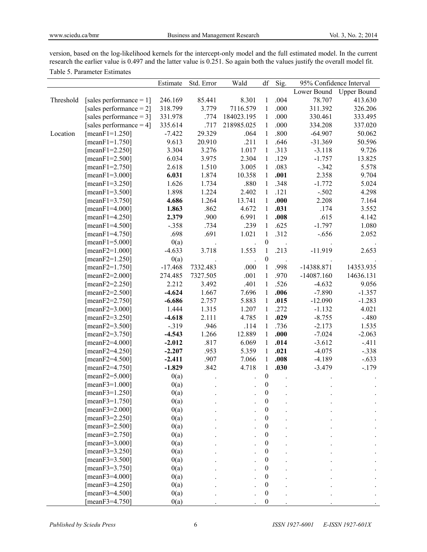version, based on the log-likelihood kernels for the intercept-only model and the full estimated model. In the current research the earlier value is 0.497 and the latter value is 0.251. So again both the values justify the overall model fit. Table 5. Parameter Estimates

|           |                            | Estimate  | Std. Error | Wald       | df               | Sig. | 95% Confidence Interval |           |
|-----------|----------------------------|-----------|------------|------------|------------------|------|-------------------------|-----------|
|           |                            |           |            |            |                  |      | Lower Bound Upper Bound |           |
| Threshold | [sales performance $= 1$ ] | 246.169   | 85.441     | 8.301      | $\mathbf{1}$     | .004 | 78.707                  | 413.630   |
|           | [sales performance $= 2$ ] | 318.799   | 3.779      | 7116.579   | $\mathbf{1}$     | .000 | 311.392                 | 326.206   |
|           | [sales performance = $3$ ] | 331.978   | .774       | 184023.195 | $\mathbf{1}$     | .000 | 330.461                 | 333.495   |
|           | [sales performance $= 4$ ] | 335.614   | .717       | 218985.025 | $\mathbf{1}$     | .000 | 334.208                 | 337.020   |
| Location  | [ $meanF1=1.250$ ]         | $-7.422$  | 29.329     | .064       | $\mathbf{1}$     | .800 | $-64.907$               | 50.062    |
|           | [ $meanF1=1.750$ ]         | 9.613     | 20.910     | .211       | $\mathbf{1}$     | .646 | $-31.369$               | 50.596    |
|           | [ $meanF1 = 2.250$ ]       | 3.304     | 3.276      | 1.017      | $\mathbf{1}$     | .313 | $-3.118$                | 9.726     |
|           | [ $meanF1 = 2.500$ ]       | 6.034     | 3.975      | 2.304      | $\mathbf{1}$     | .129 | $-1.757$                | 13.825    |
|           | [ $meanF1 = 2.750$ ]       | 2.618     | 1.510      | 3.005      | $\mathbf{1}$     | .083 | $-.342$                 | 5.578     |
|           | [ $meanF1 = 3.000$ ]       | 6.031     | 1.874      | 10.358     | $\mathbf{1}$     | .001 | 2.358                   | 9.704     |
|           | [ $meanF1 = 3.250$ ]       | 1.626     | 1.734      | .880       | $\mathbf{1}$     | .348 | $-1.772$                | 5.024     |
|           | [ $meanF1 = 3.500$ ]       | 1.898     | 1.224      | 2.402      | $\mathbf{1}$     | .121 | $-.502$                 | 4.298     |
|           | [ $meanF1 = 3.750$ ]       | 4.686     | 1.264      | 13.741     | $\mathbf{1}$     | .000 | 2.208                   | 7.164     |
|           | [ $meanF1 = 4.000$ ]       | 1.863     | .862       | 4.672      | $\mathbf{1}$     | .031 | .174                    | 3.552     |
|           | [ $meanF1 = 4.250$ ]       | 2.379     | .900       | 6.991      | $\mathbf{1}$     | .008 | .615                    | 4.142     |
|           | [ $meanF1 = 4.500$ ]       | $-.358$   | .734       | .239       | $\mathbf{1}$     | .625 | $-1.797$                | 1.080     |
|           | [ $meanF1 = 4.750$ ]       | .698      | .691       | 1.021      | $\mathbf{1}$     | .312 | $-.656$                 | 2.052     |
|           | [ $meanF1 = 5.000$ ]       | 0(a)      |            |            | $\boldsymbol{0}$ |      |                         |           |
|           | [ $meanF2=1.000$ ]         | $-4.633$  | 3.718      | 1.553      | 1                | .213 | $-11.919$               | 2.653     |
|           | $[meanF2=1.250]$           | 0(a)      |            |            | $\boldsymbol{0}$ |      |                         |           |
|           | $[meanF2=1.750]$           | $-17.468$ | 7332.483   | .000       | $\mathbf{1}$     | .998 | $-14388.871$            | 14353.935 |
|           | $[meanF2 = 2.000]$         | 274.485   | 7327.505   | .001       | $\mathbf{1}$     | .970 | $-14087.160$            | 14636.131 |
|           | [ $meanF2 = 2.250$ ]       | 2.212     | 3.492      | .401       | $\mathbf{1}$     | .526 | $-4.632$                | 9.056     |
|           | [ $meanF2 = 2.500$ ]       | $-4.624$  | 1.667      | 7.696      | $\mathbf{1}$     | .006 | $-7.890$                | $-1.357$  |
|           | [ $meanF2 = 2.750$ ]       | $-6.686$  | 2.757      | 5.883      | $\mathbf{1}$     | .015 | $-12.090$               | $-1.283$  |
|           | [ $meanF2 = 3.000$ ]       | 1.444     | 1.315      | 1.207      | $\mathbf{1}$     | .272 | $-1.132$                | 4.021     |
|           | [ $meanF2 = 3.250$ ]       | $-4.618$  | 2.111      | 4.785      | $\mathbf{1}$     | .029 | $-8.755$                | $-.480$   |
|           | [ $meanF2 = 3.500$ ]       | $-0.319$  | .946       | .114       | $\mathbf{1}$     | .736 | $-2.173$                | 1.535     |
|           | [ $meanF2 = 3.750$ ]       | $-4.543$  | 1.266      | 12.889     | $\mathbf{1}$     | .000 | $-7.024$                | $-2.063$  |
|           | [ $meanF2 = 4.000$ ]       | $-2.012$  | .817       | 6.069      | $\mathbf{1}$     | .014 | $-3.612$                | $-.411$   |
|           | [ $meanF2 = 4.250$ ]       | $-2.207$  | .953       | 5.359      | $\mathbf{1}$     | .021 | $-4.075$                | $-.338$   |
|           | [ $meanF2 = 4.500$ ]       | $-2.411$  | .907       | 7.066      | $\mathbf{1}$     | .008 | $-4.189$                | $-.633$   |
|           | [ $meanF2 = 4.750$ ]       | $-1.829$  | .842       | 4.718      | $\mathbf{1}$     | .030 | $-3.479$                | $-.179$   |
|           | $[meanF2 = 5.000]$         | 0(a)      |            |            | $\boldsymbol{0}$ |      |                         |           |
|           | $[meanF3=1.000]$           | 0(a)      |            |            | $\boldsymbol{0}$ |      |                         |           |
|           | $[meanF3=1.250]$           | 0(a)      |            |            | $\boldsymbol{0}$ |      |                         |           |
|           | [ $meanF3 = 1.750$ ]       | 0(a)      |            |            | $\boldsymbol{0}$ |      |                         |           |
|           | [ $meanF3 = 2.000$ ]       | 0(a)      |            |            | $\boldsymbol{0}$ |      |                         |           |
|           | $[meanF3 = 2.250]$         | 0(a)      |            |            | $\boldsymbol{0}$ |      |                         |           |
|           | $[meanF3 = 2.500]$         | 0(a)      |            |            | $\boldsymbol{0}$ |      |                         |           |
|           | [ $meanF3 = 2.750$ ]       | 0(a)      |            |            | $\boldsymbol{0}$ |      |                         |           |
|           | [ $meanF3 = 3.000$ ]       | 0(a)      |            |            | $\boldsymbol{0}$ |      |                         |           |
|           | $[meanF3 = 3.250]$         | 0(a)      |            |            | $\boldsymbol{0}$ |      |                         |           |
|           | [ $meanF3 = 3.500$ ]       | 0(a)      |            |            | $\boldsymbol{0}$ |      |                         |           |
|           | [ $meanF3 = 3.750$ ]       | 0(a)      |            |            | $\boldsymbol{0}$ |      |                         |           |
|           | [ $meanF3 = 4.000$ ]       | 0(a)      |            |            | $\boldsymbol{0}$ |      |                         |           |
|           | [ $meanF3 = 4.250$ ]       | 0(a)      |            |            | $\boldsymbol{0}$ |      |                         |           |
|           | [ $meanF3 = 4.500$ ]       | 0(a)      |            |            | $\boldsymbol{0}$ |      |                         |           |
|           | $[meanF3 = 4.750]$         | 0(a)      |            |            | $\boldsymbol{0}$ |      |                         |           |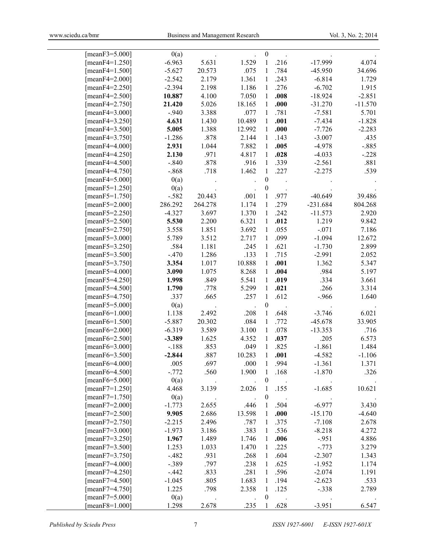| [meanF3=5.000]       | 0(a)     |         |        | $\boldsymbol{0}$ |      |            |           |
|----------------------|----------|---------|--------|------------------|------|------------|-----------|
| [meanF4=1.250]       | $-6.963$ | 5.631   | 1.529  | 1                | .216 | $-17.999$  | 4.074     |
| [meanF4=1.500]       | $-5.627$ | 20.573  | .075   | 1                | .784 | $-45.950$  | 34.696    |
| [meanF4=2.000]       | $-2.542$ | 2.179   | 1.361  | 1                | .243 | $-6.814$   | 1.729     |
| [ $meanF4 = 2.250$ ] | $-2.394$ | 2.198   | 1.186  | $\mathbf{1}$     | .276 | $-6.702$   | 1.915     |
| [ $meanF4 = 2.500$ ] | 10.887   | 4.100   | 7.050  | 1                | .008 | $-18.924$  | $-2.851$  |
| [ $meanF4 = 2.750$ ] | 21.420   | 5.026   | 18.165 | $\mathbf{1}$     | .000 | $-31.270$  | $-11.570$ |
| [meanF4=3.000]       | $-.940$  | 3.388   | .077   | 1                | .781 | $-7.581$   | 5.701     |
| [ $meanF4 = 3.250$ ] | 4.631    | 1.430   | 10.489 | $\mathbf{1}$     | .001 | $-7.434$   | $-1.828$  |
| [mean $F4 = 3.500$ ] | 5.005    | 1.388   | 12.992 | 1                | .000 | $-7.726$   | $-2.283$  |
| [ $meanF4 = 3.750$ ] | $-1.286$ | .878    | 2.144  | 1                | .143 | $-3.007$   | .435      |
| [meanF4=4.000]       | 2.931    | 1.044   | 7.882  | 1                | .005 | $-4.978$   | $-.885$   |
| [ $meanF4 = 4.250$ ] | 2.130    | .971    | 4.817  | 1                | .028 | $-4.033$   | $-.228$   |
| [meanF4=4.500]       | $-.840$  | .878    | .916   | 1                | .339 | $-2.561$   | .881      |
| [ $meanF4 = 4.750$ ] | $-.868$  | .718    | 1.462  | $\mathbf{1}$     | .227 | $-2.275$   | .539      |
| [meanF4=5.000]       | 0(a)     |         |        | $\boldsymbol{0}$ |      |            |           |
| [ $meanF5=1.250$ ]   | 0(a)     |         |        | $\boldsymbol{0}$ |      |            |           |
| [mean $F5=1.750$ ]   | $-.582$  | 20.443  | .001   | 1                | .977 | $-40.649$  | 39.486    |
| [meanF5= $2.000$ ]   | 286.292  | 264.278 | 1.174  | $\mathbf{1}$     | .279 | $-231.684$ | 804.268   |
| [meanF5=2.250]       | $-4.327$ | 3.697   | 1.370  | 1                | .242 | $-11.573$  | 2.920     |
| [mean $F5 = 2.500$ ] | 5.530    | 2.200   | 6.321  | 1                | .012 | 1.219      | 9.842     |
| [ $meanF5 = 2.750$ ] | 3.558    | 1.851   | 3.692  | 1                | .055 | $-.071$    | 7.186     |
| [mean $F5 = 3.000$ ] | 5.789    | 3.512   | 2.717  | $\mathbf{1}$     | .099 | $-1.094$   | 12.672    |
| [meanF5=3.250]       | .584     | 1.181   | .245   | 1                | .621 | $-1.730$   | 2.899     |
| [mean $F5 = 3.500$ ] | $-.470$  | 1.286   | .133   | 1                | .715 | $-2.991$   | 2.052     |
| [mean $F5 = 3.750$ ] | 3.354    | 1.017   | 10.888 | 1                | .001 | 1.362      | 5.347     |
| [meanF5=4.000]       | 3.090    | 1.075   | 8.268  | 1                | .004 | .984       | 5.197     |
| [meanF5=4.250]       | 1.998    | .849    | 5.541  | 1                | .019 | .334       | 3.661     |
| [meanF5=4.500]       | 1.790    | .778    | 5.299  | 1                | .021 | .266       | 3.314     |
| [meanF5=4.750]       | .337     | .665    | .257   | $\mathbf{1}$     | .612 | $-.966$    | 1.640     |
| [mean $F5 = 5.000$ ] | 0(a)     |         |        | $\boldsymbol{0}$ |      |            |           |
| [mean $F6=1.000$ ]   | 1.138    | 2.492   | .208   | 1                | .648 | $-3.746$   | 6.021     |
| [mean $F6=1.500$ ]   | $-5.887$ | 20.302  | .084   | 1                | .772 | $-45.678$  | 33.905    |
| [ $meanF6 = 2.000$ ] | $-6.319$ | 3.589   | 3.100  | 1                | .078 | $-13.353$  | .716      |
| [mean $F6 = 2.500$ ] | $-3.389$ | 1.625   | 4.352  | 1                | .037 | .205       | 6.573     |
| [mean $F6 = 3.000$ ] | $-.188$  | .853    | .049   | 1                | .825 | $-1.861$   | 1.484     |
| [mean $F6 = 3.500$ ] | $-2.844$ | .887    | 10.283 | 1                | .001 | $-4.582$   | $-1.106$  |
| [meanF6=4.000]       | .005     | .697    | .000   | 1                | .994 | $-1.361$   | 1.371     |
| [mean $F6 = 4.500$ ] | $-.772$  | .560    | 1.900  | 1                | .168 | $-1.870$   | .326      |
| [mean $F6 = 5.000$ ] | 0(a)     |         |        | $\boldsymbol{0}$ |      |            |           |
| [ $meanF7=1.250$ ]   | 4.468    | 3.139   | 2.026  | 1                | .155 | $-1.685$   | 10.621    |
| [ $meanF7=1.750$ ]   | 0(a)     |         |        | $\boldsymbol{0}$ |      |            |           |
| [ $meanF7 = 2.000$ ] | $-1.773$ | 2.655   | .446   | 1                | .504 | $-6.977$   | 3.430     |
| [ $meanF7 = 2.500$ ] | 9.905    | 2.686   | 13.598 | 1                | .000 | $-15.170$  | $-4.640$  |
| [ $meanF7 = 2.750$ ] | $-2.215$ | 2.496   | .787   | 1                | .375 | $-7.108$   | 2.678     |
| [ $meanF7 = 3.000$ ] | $-1.973$ | 3.186   | .383   | 1                | .536 | $-8.218$   | 4.272     |
| [meanF7=3.250]       | 1.967    | 1.489   | 1.746  | 1                | .006 | $-951$     | 4.886     |
| [ $meanF7 = 3.500$ ] | 1.253    | 1.033   | 1.470  | 1                | .225 | $-.773$    | 3.279     |
| [ $meanF7 = 3.750$ ] | $-.482$  | .931    | .268   | 1                | .604 | $-2.307$   | 1.343     |
| [ $meanF7 = 4.000$ ] | $-.389$  | .797    | .238   | 1                | .625 | $-1.952$   | 1.174     |
| [meanF7=4.250]       | $-.442$  | .833    | .281   | 1                | .596 | $-2.074$   | 1.191     |
| [meanF7=4.500]       | $-1.045$ | .805    | 1.683  | 1                | .194 | $-2.623$   | .533      |
| [ $meanF7 = 4.750$ ] | 1.225    | .798    | 2.358  | 1                | .125 | $-.338$    | 2.789     |
| [ $meanF7 = 5.000$ ] | 0(a)     |         |        | $\boldsymbol{0}$ |      |            |           |
| [mean $F8=1.000$ ]   | 1.298    | 2.678   | .235   | 1                | .628 | $-3.951$   | 6.547     |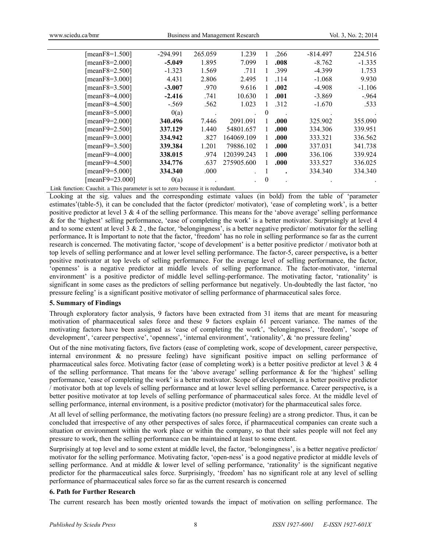| [ $meanF8=1.500$ ]   | $-294.991$ | 265.059 | 1.239      |          | .266 | $-814.497$ | 224.516  |
|----------------------|------------|---------|------------|----------|------|------------|----------|
| [mean $F8=2.000$ ]   | $-5.049$   | 1.895   | 7.099      |          | .008 | $-8.762$   | $-1.335$ |
| [mean $F8=2.500$ ]   | $-1.323$   | 1.569   | .711       |          | .399 | $-4.399$   | 1.753    |
| [ $meanF8=3.000$ ]   | 4.431      | 2.806   | 2.495      |          | .114 | $-1.068$   | 9.930    |
| [mean $F8=3.500$ ]   | $-3.007$   | .970    | 9.616      |          | .002 | $-4.908$   | $-1.106$ |
| [mean $F8=4.000$ ]   | $-2.416$   | .741    | 10.630     |          | .001 | $-3.869$   | $-964$   |
| [mean $F8=4.500$ ]   | $-.569$    | .562    | 1.023      |          | .312 | $-1.670$   | .533     |
| [mean $F8=5.000$ ]   | 0(a)       |         |            | $\theta$ |      |            |          |
| [ $meanF9=2.000$ ]   | 340.496    | 7.446   | 2091.091   |          | .000 | 325.902    | 355.090  |
| [meanF9= $2.500$ ]   | 337.129    | 1.440   | 54801.657  | L        | .000 | 334.306    | 339.951  |
| [ $meanF9 = 3.000$ ] | 334.942    | .827    | 164069.109 |          | .000 | 333.321    | 336.562  |
| [meanF9=3.500]       | 339.384    | 1.201   | 79886.102  |          | .000 | 337.031    | 341.738  |
| [meanF9=4.000]       | 338.015    | .974    | 120399.243 |          | .000 | 336.106    | 339.924  |
| [meanF9=4.500]       | 334.776    | .637    | 275905.600 |          | .000 | 333.527    | 336.025  |
| [meanF9=5.000]       | 334.340    | .000    |            |          |      | 334.340    | 334.340  |
| [meanF9=23.000]      | 0(a)       |         |            | 0        |      |            |          |
|                      |            |         |            |          |      |            |          |

Link function: Cauchit. a This parameter is set to zero because it is redundant.

Looking at the sig. values and the corresponding estimate values (in bold) from the table of 'parameter estimates'(table-5), it can be concluded that the factor (predictor/ motivator), 'ease of completing work', is a better positive predictor at level  $3 \& 4$  of the selling performance. This means for the 'above average' selling performance & for the 'highest' selling performance, 'ease of completing the work' is a better motivator. Surprisingly at level 4 and to some extent at level  $3 \& 2$ , the factor, 'belongingness', is a better negative predictor/ motivator for the selling performance**.** It is Important to note that the factor, 'freedom' has no role in selling performance so far as the current research is concerned. The motivating factor, 'scope of development' is a better positive predictor / motivator both at top levels of selling performance and at lower level selling performance. The factor-5, career perspective**,** is a better positive motivator at top levels of selling performance. For the average level of selling performance, the factor, 'openness' is a negative predictor at middle levels of selling performance. The factor-motivator, 'internal environment' is a positive predictor of middle level selling-performance. The motivating factor, 'rationality' is significant in some cases as the predictors of selling performance but negatively. Un-doubtedly the last factor, 'no pressure feeling' is a significant positive motivator of selling performance of pharmaceutical sales force.

### **5. Summary of Findings**

Through exploratory factor analysis, 9 factors have been extracted from 31 items that are meant for measuring motivation of pharmaceutical sales force and these 9 factors explain 61 percent variance. The names of the motivating factors have been assigned as 'ease of completing the work', 'belongingness', 'freedom', 'scope of development', 'career perspective', 'openness', 'internal environment', 'rationality', & 'no pressure feeling'

Out of the nine motivating factors, five factors (ease of completing work, scope of development, career perspective, internal environment & no pressure feeling) have significant positive impact on selling performance of pharmaceutical sales force. Motivating factor (ease of completing work) is a better positive predictor at level  $3 \& 4$ of the selling performance. That means for the 'above average' selling performance & for the 'highest' selling performance, 'ease of completing the work' is a better motivator. Scope of development, is a better positive predictor / motivator both at top levels of selling performance and at lower level selling performance. Career perspective**,** is a better positive motivator at top levels of selling performance of pharmaceutical sales force. At the middle level of selling performance, internal environment, is a positive predictor (motivator) for the pharmaceutical sales force.

At all level of selling performance, the motivating factors (no pressure feeling) are a strong predictor. Thus, it can be concluded that irrespective of any other perspectives of sales force, if pharmaceutical companies can create such a situation or environment within the work place or within the company, so that their sales people will not feel any pressure to work, then the selling performance can be maintained at least to some extent.

Surprisingly at top level and to some extent at middle level, the factor, 'belongingness', is a better negative predictor/ motivator for the selling performance. Motivating factor, 'open-ness' is a good negative predictor at middle levels of selling performance. And at middle  $\&$  lower level of selling performance, 'rationality' is the significant negative predictor for the pharmaceutical sales force. Surprisingly, 'freedom' has no significant role at any level of selling performance of pharmaceutical sales force so far as the current research is concerned

### **6. Path for Further Research**

The current research has been mostly oriented towards the impact of motivation on selling performance. The